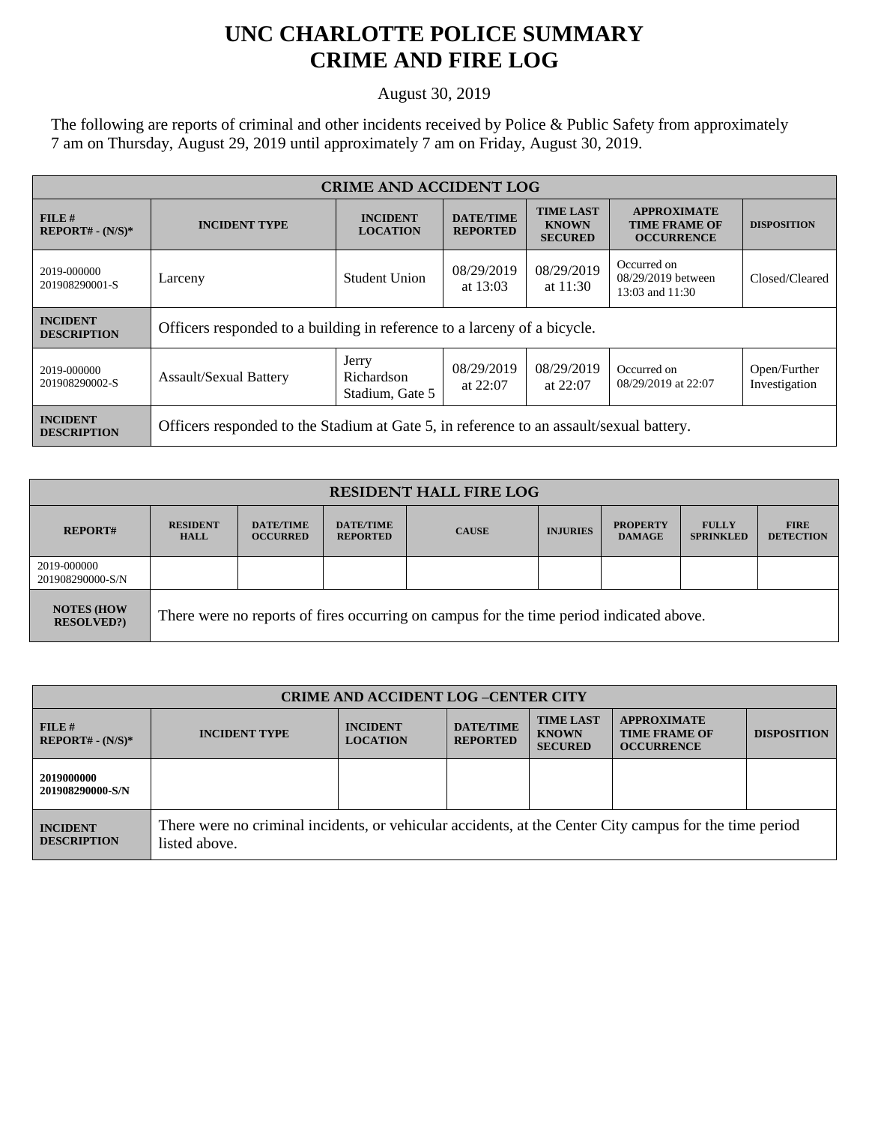## **UNC CHARLOTTE POLICE SUMMARY CRIME AND FIRE LOG**

August 30, 2019

The following are reports of criminal and other incidents received by Police & Public Safety from approximately 7 am on Thursday, August 29, 2019 until approximately 7 am on Friday, August 30, 2019.

| <b>CRIME AND ACCIDENT LOG</b>         |                                                                                         |                                        |                                     |                                                    |                                                                 |                               |  |
|---------------------------------------|-----------------------------------------------------------------------------------------|----------------------------------------|-------------------------------------|----------------------------------------------------|-----------------------------------------------------------------|-------------------------------|--|
| FILE#<br>$REPORT# - (N/S)*$           | <b>INCIDENT TYPE</b>                                                                    | <b>INCIDENT</b><br><b>LOCATION</b>     | <b>DATE/TIME</b><br><b>REPORTED</b> | <b>TIME LAST</b><br><b>KNOWN</b><br><b>SECURED</b> | <b>APPROXIMATE</b><br><b>TIME FRAME OF</b><br><b>OCCURRENCE</b> | <b>DISPOSITION</b>            |  |
| 2019-000000<br>201908290001-S         | Larceny                                                                                 | Student Union                          | 08/29/2019<br>at $13:03$            | 08/29/2019<br>at $11:30$                           | Occurred on<br>08/29/2019 between<br>13:03 and 11:30            | Closed/Cleared                |  |
| <b>INCIDENT</b><br><b>DESCRIPTION</b> | Officers responded to a building in reference to a larceny of a bicycle.                |                                        |                                     |                                                    |                                                                 |                               |  |
| 2019-000000<br>201908290002-S         | <b>Assault/Sexual Battery</b>                                                           | Jerry<br>Richardson<br>Stadium, Gate 5 | 08/29/2019<br>at $22:07$            | 08/29/2019<br>at $22:07$                           | Occurred on<br>08/29/2019 at 22:07                              | Open/Further<br>Investigation |  |
| <b>INCIDENT</b><br><b>DESCRIPTION</b> | Officers responded to the Stadium at Gate 5, in reference to an assault/sexual battery. |                                        |                                     |                                                    |                                                                 |                               |  |

| <b>RESIDENT HALL FIRE LOG</b>         |                                                                                         |                                     |                                     |              |                 |                                  |                                  |                                 |
|---------------------------------------|-----------------------------------------------------------------------------------------|-------------------------------------|-------------------------------------|--------------|-----------------|----------------------------------|----------------------------------|---------------------------------|
| <b>REPORT#</b>                        | <b>RESIDENT</b><br><b>HALL</b>                                                          | <b>DATE/TIME</b><br><b>OCCURRED</b> | <b>DATE/TIME</b><br><b>REPORTED</b> | <b>CAUSE</b> | <b>INJURIES</b> | <b>PROPERTY</b><br><b>DAMAGE</b> | <b>FULLY</b><br><b>SPRINKLED</b> | <b>FIRE</b><br><b>DETECTION</b> |
| 2019-000000<br>201908290000-S/N       |                                                                                         |                                     |                                     |              |                 |                                  |                                  |                                 |
| <b>NOTES (HOW</b><br><b>RESOLVED?</b> | There were no reports of fires occurring on campus for the time period indicated above. |                                     |                                     |              |                 |                                  |                                  |                                 |

| <b>CRIME AND ACCIDENT LOG -CENTER CITY</b> |                                                                                                                          |                                    |                                     |                                                    |                                                                 |                    |  |
|--------------------------------------------|--------------------------------------------------------------------------------------------------------------------------|------------------------------------|-------------------------------------|----------------------------------------------------|-----------------------------------------------------------------|--------------------|--|
| FILE H<br>$REPORT# - (N/S)*$               | <b>INCIDENT TYPE</b>                                                                                                     | <b>INCIDENT</b><br><b>LOCATION</b> | <b>DATE/TIME</b><br><b>REPORTED</b> | <b>TIME LAST</b><br><b>KNOWN</b><br><b>SECURED</b> | <b>APPROXIMATE</b><br><b>TIME FRAME OF</b><br><b>OCCURRENCE</b> | <b>DISPOSITION</b> |  |
| 2019000000<br>201908290000-S/N             |                                                                                                                          |                                    |                                     |                                                    |                                                                 |                    |  |
| <b>INCIDENT</b><br><b>DESCRIPTION</b>      | There were no criminal incidents, or vehicular accidents, at the Center City campus for the time period<br>listed above. |                                    |                                     |                                                    |                                                                 |                    |  |